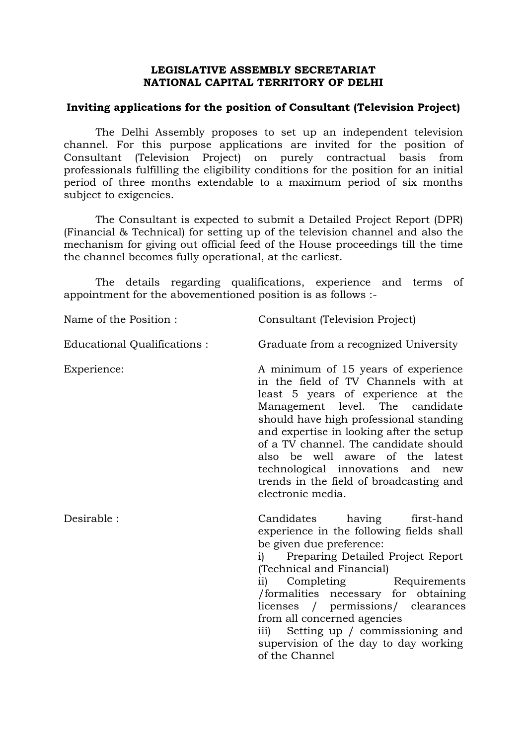## **LEGISLATIVE ASSEMBLY SECRETARIAT NATIONAL CAPITAL TERRITORY OF DELHI**

## **Inviting applications for the position of Consultant (Television Project)**

The Delhi Assembly proposes to set up an independent television channel. For this purpose applications are invited for the position of Consultant (Television Project) on purely contractual basis from professionals fulfilling the eligibility conditions for the position for an initial period of three months extendable to a maximum period of six months subject to exigencies.

The Consultant is expected to submit a Detailed Project Report (DPR) (Financial & Technical) for setting up of the television channel and also the mechanism for giving out official feed of the House proceedings till the time the channel becomes fully operational, at the earliest.

The details regarding qualifications, experience and terms of appointment for the abovementioned position is as follows :-

| Name of the Position:        | Consultant (Television Project)                                                                                                                                                                                                                                                                                                                                                                                                                             |
|------------------------------|-------------------------------------------------------------------------------------------------------------------------------------------------------------------------------------------------------------------------------------------------------------------------------------------------------------------------------------------------------------------------------------------------------------------------------------------------------------|
| Educational Qualifications : | Graduate from a recognized University                                                                                                                                                                                                                                                                                                                                                                                                                       |
| Experience:                  | A minimum of 15 years of experience<br>in the field of TV Channels with at<br>least 5 years of experience at the<br>Management level. The candidate<br>should have high professional standing<br>and expertise in looking after the setup<br>of a TV channel. The candidate should<br>also be well aware of the latest<br>technological innovations and new<br>trends in the field of broadcasting and<br>electronic media.                                 |
| Desirable :                  | Candidates<br>having first-hand<br>experience in the following fields shall<br>be given due preference:<br>Preparing Detailed Project Report<br>i)<br>(Technical and Financial)<br>Completing Requirements<br>$\overline{11}$<br>/formalities necessary for obtaining<br>licenses / permissions/ clearances<br>from all concerned agencies<br>Setting up / commissioning and<br>$\overline{111}$<br>supervision of the day to day working<br>of the Channel |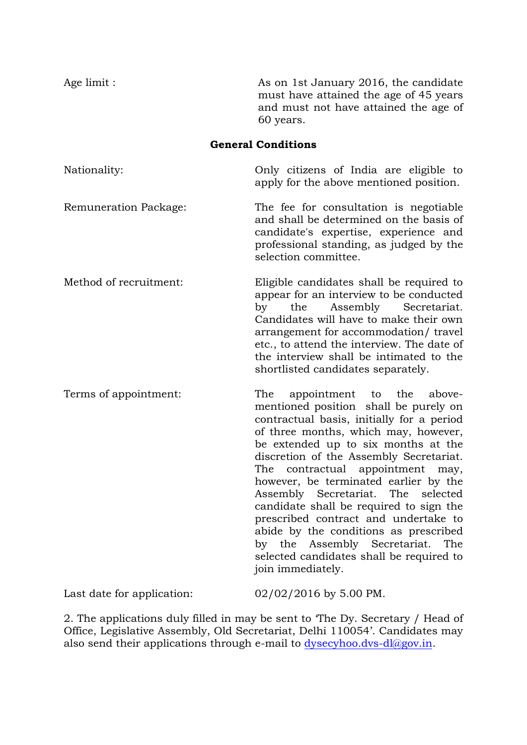| Age limit :                | As on 1st January 2016, the candidate<br>must have attained the age of 45 years<br>and must not have attained the age of<br>60 years.                                                                                                                                                                                                                                                                                                                                                                                                                                                                                  |
|----------------------------|------------------------------------------------------------------------------------------------------------------------------------------------------------------------------------------------------------------------------------------------------------------------------------------------------------------------------------------------------------------------------------------------------------------------------------------------------------------------------------------------------------------------------------------------------------------------------------------------------------------------|
|                            | <b>General Conditions</b>                                                                                                                                                                                                                                                                                                                                                                                                                                                                                                                                                                                              |
| Nationality:               | Only citizens of India are eligible to<br>apply for the above mentioned position.                                                                                                                                                                                                                                                                                                                                                                                                                                                                                                                                      |
| Remuneration Package:      | The fee for consultation is negotiable<br>and shall be determined on the basis of<br>candidate's expertise, experience and<br>professional standing, as judged by the<br>selection committee.                                                                                                                                                                                                                                                                                                                                                                                                                          |
| Method of recruitment:     | Eligible candidates shall be required to<br>appear for an interview to be conducted<br>Assembly Secretariat.<br>by<br>the<br>Candidates will have to make their own<br>arrangement for accommodation/ travel<br>etc., to attend the interview. The date of<br>the interview shall be intimated to the<br>shortlisted candidates separately.                                                                                                                                                                                                                                                                            |
| Terms of appointment:      | The<br>appointment<br>the<br>above-<br>to<br>mentioned position shall be purely on<br>contractual basis, initially for a period<br>of three months, which may, however,<br>be extended up to six months at the<br>discretion of the Assembly Secretariat.<br>contractual appointment may,<br>The<br>however, be terminated earlier by the<br>Assembly Secretariat. The selected<br>candidate shall be required to sign the<br>prescribed contract and undertake to<br>abide by the conditions as prescribed<br>Assembly Secretariat.<br>by the<br>The<br>selected candidates shall be required to<br>join immediately. |
| Last date for application: | 02/02/2016 by 5.00 PM.                                                                                                                                                                                                                                                                                                                                                                                                                                                                                                                                                                                                 |

2. The applications duly filled in may be sent to 'The Dy. Secretary / Head of Office, Legislative Assembly, Old Secretariat, Delhi 110054'. Candidates may also send their applications through e-mail to dysecyhoo.dvs-dl@gov.in.